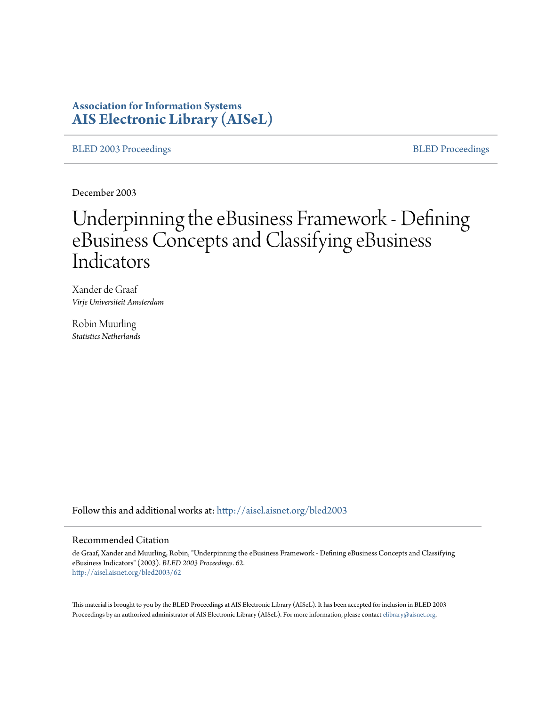# **Association for Information Systems [AIS Electronic Library \(AISeL\)](http://aisel.aisnet.org?utm_source=aisel.aisnet.org%2Fbled2003%2F62&utm_medium=PDF&utm_campaign=PDFCoverPages)**

[BLED 2003 Proceedings](http://aisel.aisnet.org/bled2003?utm_source=aisel.aisnet.org%2Fbled2003%2F62&utm_medium=PDF&utm_campaign=PDFCoverPages) **[BLED Proceedings](http://aisel.aisnet.org/bled?utm_source=aisel.aisnet.org%2Fbled2003%2F62&utm_medium=PDF&utm_campaign=PDFCoverPages)** 

December 2003

# Underpinning the eBusiness Framework - Defining eBusiness Concepts and Classifying eBusiness Indicators

Xander de Graaf *Virje Universiteit Amsterdam*

Robin Muurling *Statistics Netherlands*

Follow this and additional works at: [http://aisel.aisnet.org/bled2003](http://aisel.aisnet.org/bled2003?utm_source=aisel.aisnet.org%2Fbled2003%2F62&utm_medium=PDF&utm_campaign=PDFCoverPages)

#### Recommended Citation

de Graaf, Xander and Muurling, Robin, "Underpinning the eBusiness Framework - Defining eBusiness Concepts and Classifying eBusiness Indicators" (2003). *BLED 2003 Proceedings*. 62. [http://aisel.aisnet.org/bled2003/62](http://aisel.aisnet.org/bled2003/62?utm_source=aisel.aisnet.org%2Fbled2003%2F62&utm_medium=PDF&utm_campaign=PDFCoverPages)

This material is brought to you by the BLED Proceedings at AIS Electronic Library (AISeL). It has been accepted for inclusion in BLED 2003 Proceedings by an authorized administrator of AIS Electronic Library (AISeL). For more information, please contact [elibrary@aisnet.org](mailto:elibrary@aisnet.org%3E).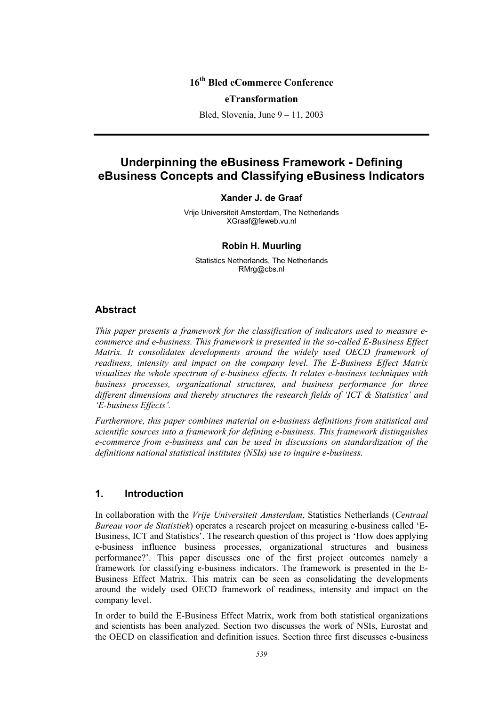# **16th Bled eCommerce Conference**

#### **eTransformation**

Bled, Slovenia, June 9 – 11, 2003

# **Underpinning the eBusiness Framework - Defining eBusiness Concepts and Classifying eBusiness Indicators**

#### **Xander J. de Graaf**

Vrije Universiteit Amsterdam, The Netherlands XGraaf@feweb.vu.nl

#### **Robin H. Muurling**

Statistics Netherlands, The Netherlands RMrg@cbs.nl

# **Abstract**

*This paper presents a framework for the classification of indicators used to measure ecommerce and e-business. This framework is presented in the so-called E-Business Effect Matrix. It consolidates developments around the widely used OECD framework of readiness, intensity and impact on the company level. The E-Business Effect Matrix visualizes the whole spectrum of e-business effects. It relates e-business techniques with business processes, organizational structures, and business performance for three different dimensions and thereby structures the research fields of 'ICT & Statistics' and 'E-business Effects'.* 

*Furthermore, this paper combines material on e-business definitions from statistical and scientific sources into a framework for defining e-business. This framework distinguishes e-commerce from e-business and can be used in discussions on standardization of the definitions national statistical institutes (NSIs) use to inquire e-business.* 

# **1. Introduction**

In collaboration with the *Vrije Universiteit Amsterdam*, Statistics Netherlands (*Centraal Bureau voor de Statistiek*) operates a research project on measuring e-business called 'E-Business, ICT and Statistics'. The research question of this project is 'How does applying e-business influence business processes, organizational structures and business performance?'. This paper discusses one of the first project outcomes namely a framework for classifying e-business indicators. The framework is presented in the E-Business Effect Matrix. This matrix can be seen as consolidating the developments around the widely used OECD framework of readiness, intensity and impact on the company level.

In order to build the E-Business Effect Matrix, work from both statistical organizations and scientists has been analyzed. Section two discusses the work of NSIs, Eurostat and the OECD on classification and definition issues. Section three first discusses e-business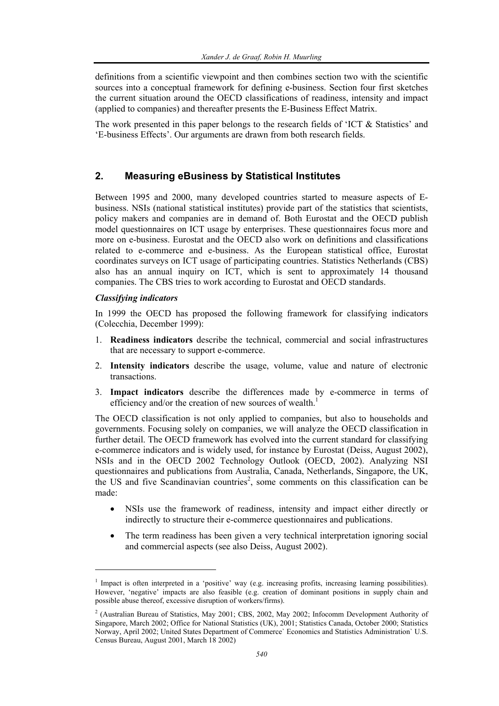definitions from a scientific viewpoint and then combines section two with the scientific sources into a conceptual framework for defining e-business. Section four first sketches the current situation around the OECD classifications of readiness, intensity and impact (applied to companies) and thereafter presents the E-Business Effect Matrix.

The work presented in this paper belongs to the research fields of 'ICT  $\&$  Statistics' and 'E-business Effects'. Our arguments are drawn from both research fields.

# **2. Measuring eBusiness by Statistical Institutes**

Between 1995 and 2000, many developed countries started to measure aspects of Ebusiness. NSIs (national statistical institutes) provide part of the statistics that scientists, policy makers and companies are in demand of. Both Eurostat and the OECD publish model questionnaires on ICT usage by enterprises. These questionnaires focus more and more on e-business. Eurostat and the OECD also work on definitions and classifications related to e-commerce and e-business. As the European statistical office, Eurostat coordinates surveys on ICT usage of participating countries. Statistics Netherlands (CBS) also has an annual inquiry on ICT, which is sent to approximately 14 thousand companies. The CBS tries to work according to Eurostat and OECD standards.

#### *Classifying indicators*

l

In 1999 the OECD has proposed the following framework for classifying indicators (Colecchia, December 1999):

- 1. **Readiness indicators** describe the technical, commercial and social infrastructures that are necessary to support e-commerce.
- 2. **Intensity indicators** describe the usage, volume, value and nature of electronic transactions.
- 3. **Impact indicators** describe the differences made by e-commerce in terms of efficiency and/or the creation of new sources of wealth.<sup>1</sup>

The OECD classification is not only applied to companies, but also to households and governments. Focusing solely on companies, we will analyze the OECD classification in further detail. The OECD framework has evolved into the current standard for classifying e-commerce indicators and is widely used, for instance by Eurostat (Deiss, August 2002), NSIs and in the OECD 2002 Technology Outlook (OECD, 2002). Analyzing NSI questionnaires and publications from Australia, Canada, Netherlands, Singapore, the UK, the US and five Scandinavian countries<sup>2</sup>, some comments on this classification can be made:

- NSIs use the framework of readiness, intensity and impact either directly or indirectly to structure their e-commerce questionnaires and publications.
- The term readiness has been given a very technical interpretation ignoring social and commercial aspects (see also Deiss, August 2002).

<sup>&</sup>lt;sup>1</sup> Impact is often interpreted in a 'positive' way (e.g. increasing profits, increasing learning possibilities). However, 'negative' impacts are also feasible (e.g. creation of dominant positions in supply chain and possible abuse thereof, excessive disruption of workers/firms).

 $2^{2}$  (Australian Bureau of Statistics, May 2001; CBS, 2002, May 2002; Infocomm Development Authority of Singapore, March 2002; Office for National Statistics (UK), 2001; Statistics Canada, October 2000; Statistics Norway, April 2002; United States Department of Commerce` Economics and Statistics Administration` U.S. Census Bureau, August 2001, March 18 2002)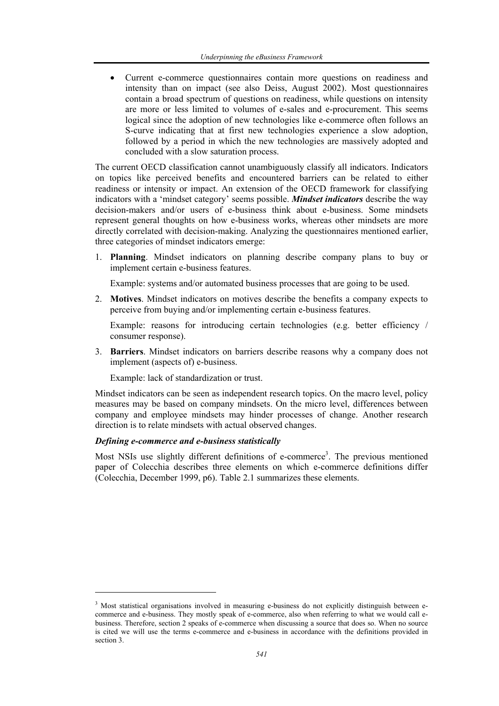• Current e-commerce questionnaires contain more questions on readiness and intensity than on impact (see also Deiss, August 2002). Most questionnaires contain a broad spectrum of questions on readiness, while questions on intensity are more or less limited to volumes of e-sales and e-procurement. This seems logical since the adoption of new technologies like e-commerce often follows an S-curve indicating that at first new technologies experience a slow adoption, followed by a period in which the new technologies are massively adopted and concluded with a slow saturation process.

The current OECD classification cannot unambiguously classify all indicators. Indicators on topics like perceived benefits and encountered barriers can be related to either readiness or intensity or impact. An extension of the OECD framework for classifying indicators with a 'mindset category' seems possible. *Mindset indicators* describe the way decision-makers and/or users of e-business think about e-business. Some mindsets represent general thoughts on how e-business works, whereas other mindsets are more directly correlated with decision-making. Analyzing the questionnaires mentioned earlier, three categories of mindset indicators emerge:

1. **Planning**. Mindset indicators on planning describe company plans to buy or implement certain e-business features.

Example: systems and/or automated business processes that are going to be used.

2. **Motives**. Mindset indicators on motives describe the benefits a company expects to perceive from buying and/or implementing certain e-business features.

Example: reasons for introducing certain technologies (e.g. better efficiency / consumer response).

3. **Barriers**. Mindset indicators on barriers describe reasons why a company does not implement (aspects of) e-business.

Example: lack of standardization or trust.

Mindset indicators can be seen as independent research topics. On the macro level, policy measures may be based on company mindsets. On the micro level, differences between company and employee mindsets may hinder processes of change. Another research direction is to relate mindsets with actual observed changes.

## *Defining e-commerce and e-business statistically*

l

Most NSIs use slightly different definitions of e-commerce<sup>3</sup>. The previous mentioned paper of Colecchia describes three elements on which e-commerce definitions differ (Colecchia, December 1999, p6). Table 2.1 summarizes these elements.

<sup>&</sup>lt;sup>3</sup> Most statistical organisations involved in measuring e-business do not explicitly distinguish between ecommerce and e-business. They mostly speak of e-commerce, also when referring to what we would call ebusiness. Therefore, section 2 speaks of e-commerce when discussing a source that does so. When no source is cited we will use the terms e-commerce and e-business in accordance with the definitions provided in section 3.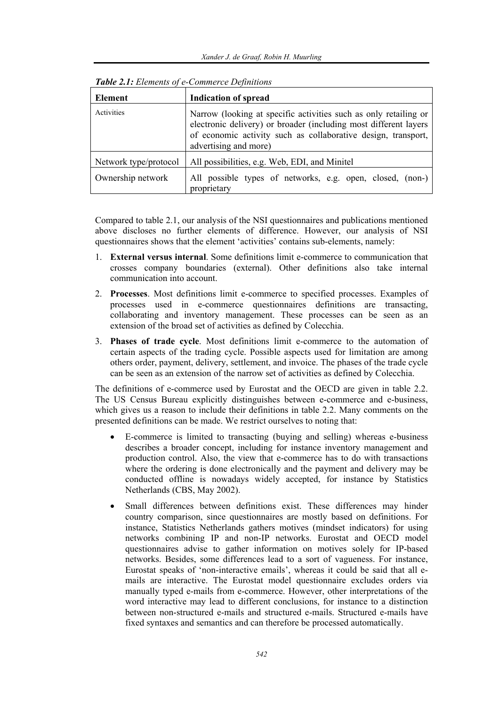| Element               | <b>Indication of spread</b>                                                                                                                                                                                                    |  |  |  |
|-----------------------|--------------------------------------------------------------------------------------------------------------------------------------------------------------------------------------------------------------------------------|--|--|--|
| Activities            | Narrow (looking at specific activities such as only retailing or<br>electronic delivery) or broader (including most different layers<br>of economic activity such as collaborative design, transport,<br>advertising and more) |  |  |  |
| Network type/protocol | All possibilities, e.g. Web, EDI, and Minitel                                                                                                                                                                                  |  |  |  |
| Ownership network     | All possible types of networks, e.g. open, closed, (non-)<br>proprietary                                                                                                                                                       |  |  |  |

| Table 2.1: Elements of e-Commerce Definitions |  |
|-----------------------------------------------|--|
|-----------------------------------------------|--|

Compared to table 2.1, our analysis of the NSI questionnaires and publications mentioned above discloses no further elements of difference. However, our analysis of NSI questionnaires shows that the element 'activities' contains sub-elements, namely:

- 1. **External versus internal**. Some definitions limit e-commerce to communication that crosses company boundaries (external). Other definitions also take internal communication into account.
- 2. **Processes**. Most definitions limit e-commerce to specified processes. Examples of processes used in e-commerce questionnaires definitions are transacting, collaborating and inventory management. These processes can be seen as an extension of the broad set of activities as defined by Colecchia.
- 3. **Phases of trade cycle**. Most definitions limit e-commerce to the automation of certain aspects of the trading cycle. Possible aspects used for limitation are among others order, payment, delivery, settlement, and invoice. The phases of the trade cycle can be seen as an extension of the narrow set of activities as defined by Colecchia.

The definitions of e-commerce used by Eurostat and the OECD are given in table 2.2. The US Census Bureau explicitly distinguishes between e-commerce and e-business, which gives us a reason to include their definitions in table 2.2. Many comments on the presented definitions can be made. We restrict ourselves to noting that:

- E-commerce is limited to transacting (buying and selling) whereas e-business describes a broader concept, including for instance inventory management and production control. Also, the view that e-commerce has to do with transactions where the ordering is done electronically and the payment and delivery may be conducted offline is nowadays widely accepted, for instance by Statistics Netherlands (CBS, May 2002).
- Small differences between definitions exist. These differences may hinder country comparison, since questionnaires are mostly based on definitions. For instance, Statistics Netherlands gathers motives (mindset indicators) for using networks combining IP and non-IP networks. Eurostat and OECD model questionnaires advise to gather information on motives solely for IP-based networks. Besides, some differences lead to a sort of vagueness. For instance, Eurostat speaks of 'non-interactive emails', whereas it could be said that all emails are interactive. The Eurostat model questionnaire excludes orders via manually typed e-mails from e-commerce. However, other interpretations of the word interactive may lead to different conclusions, for instance to a distinction between non-structured e-mails and structured e-mails. Structured e-mails have fixed syntaxes and semantics and can therefore be processed automatically.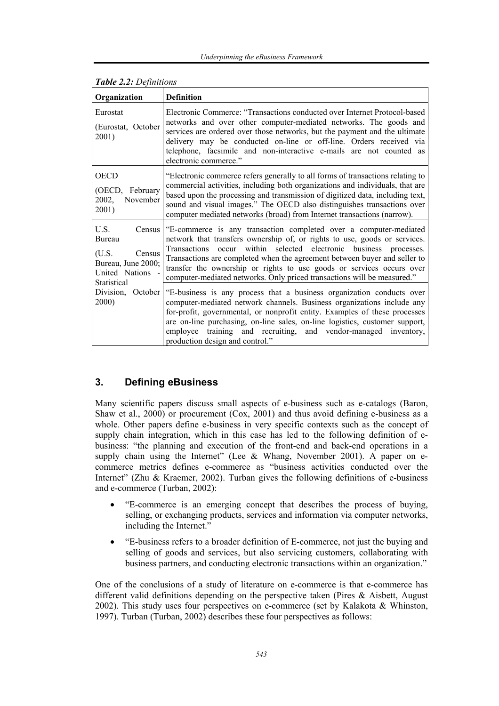| Organization                                                                                         | <b>Definition</b>                                                                                                                                                                                                                                                                                                                                                                                                                                       |
|------------------------------------------------------------------------------------------------------|---------------------------------------------------------------------------------------------------------------------------------------------------------------------------------------------------------------------------------------------------------------------------------------------------------------------------------------------------------------------------------------------------------------------------------------------------------|
| Eurostat<br>(Eurostat, October<br>2001)                                                              | Electronic Commerce: "Transactions conducted over Internet Protocol-based<br>networks and over other computer-mediated networks. The goods and<br>services are ordered over those networks, but the payment and the ultimate<br>delivery may be conducted on-line or off-line. Orders received via<br>telephone, facsimile and non-interactive e-mails are not counted as<br>electronic commerce."                                                      |
| OECD<br>(OECD, February<br>2002,<br>November<br>2001)                                                | "Electronic commerce refers generally to all forms of transactions relating to<br>commercial activities, including both organizations and individuals, that are<br>based upon the processing and transmission of digitized data, including text,<br>sound and visual images." The OECD also distinguishes transactions over<br>computer mediated networks (broad) from Internet transactions (narrow).                                                  |
| U.S.<br>Census<br>Bureau<br>(U.S.<br>Census<br>Bureau, June 2000;<br>United Nations -<br>Statistical | "E-commerce is any transaction completed over a computer-mediated<br>network that transfers ownership of, or rights to use, goods or services.<br>occur within selected electronic business processes.<br>Transactions<br>Transactions are completed when the agreement between buyer and seller to<br>transfer the ownership or rights to use goods or services occurs over<br>computer-mediated networks. Only priced transactions will be measured." |
| Division,<br>October<br>2000)                                                                        | "E-business is any process that a business organization conducts over<br>computer-mediated network channels. Business organizations include any<br>for-profit, governmental, or nonprofit entity. Examples of these processes<br>are on-line purchasing, on-line sales, on-line logistics, customer support,<br>training and recruiting, and vendor-managed inventory,<br>employee<br>production design and control."                                   |

#### *Table 2.2: Definitions*

# **3. Defining eBusiness**

Many scientific papers discuss small aspects of e-business such as e-catalogs (Baron, Shaw et al., 2000) or procurement (Cox, 2001) and thus avoid defining e-business as a whole. Other papers define e-business in very specific contexts such as the concept of supply chain integration, which in this case has led to the following definition of ebusiness: "the planning and execution of the front-end and back-end operations in a supply chain using the Internet" (Lee & Whang, November 2001). A paper on ecommerce metrics defines e-commerce as "business activities conducted over the Internet" (Zhu & Kraemer, 2002). Turban gives the following definitions of e-business and e-commerce (Turban, 2002):

- "E-commerce is an emerging concept that describes the process of buying, selling, or exchanging products, services and information via computer networks, including the Internet."
- "E-business refers to a broader definition of E-commerce, not just the buying and selling of goods and services, but also servicing customers, collaborating with business partners, and conducting electronic transactions within an organization."

One of the conclusions of a study of literature on e-commerce is that e-commerce has different valid definitions depending on the perspective taken (Pires & Aisbett, August 2002). This study uses four perspectives on e-commerce (set by Kalakota & Whinston, 1997). Turban (Turban, 2002) describes these four perspectives as follows: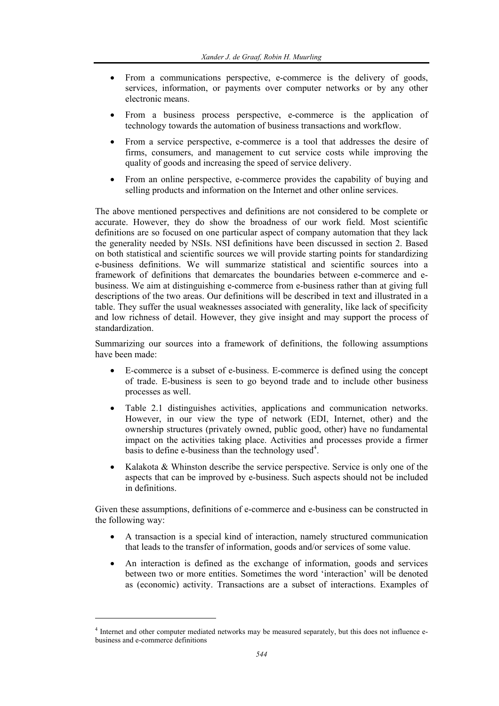- From a communications perspective, e-commerce is the delivery of goods, services, information, or payments over computer networks or by any other electronic means.
- From a business process perspective, e-commerce is the application of technology towards the automation of business transactions and workflow.
- From a service perspective, e-commerce is a tool that addresses the desire of firms, consumers, and management to cut service costs while improving the quality of goods and increasing the speed of service delivery.
- From an online perspective, e-commerce provides the capability of buying and selling products and information on the Internet and other online services.

The above mentioned perspectives and definitions are not considered to be complete or accurate. However, they do show the broadness of our work field. Most scientific definitions are so focused on one particular aspect of company automation that they lack the generality needed by NSIs. NSI definitions have been discussed in section 2. Based on both statistical and scientific sources we will provide starting points for standardizing e-business definitions. We will summarize statistical and scientific sources into a framework of definitions that demarcates the boundaries between e-commerce and ebusiness. We aim at distinguishing e-commerce from e-business rather than at giving full descriptions of the two areas. Our definitions will be described in text and illustrated in a table. They suffer the usual weaknesses associated with generality, like lack of specificity and low richness of detail. However, they give insight and may support the process of standardization.

Summarizing our sources into a framework of definitions, the following assumptions have been made:

- E-commerce is a subset of e-business. E-commerce is defined using the concept of trade. E-business is seen to go beyond trade and to include other business processes as well.
- Table 2.1 distinguishes activities, applications and communication networks. However, in our view the type of network (EDI, Internet, other) and the ownership structures (privately owned, public good, other) have no fundamental impact on the activities taking place. Activities and processes provide a firmer basis to define e-business than the technology used<sup>4</sup>.
- Kalakota & Whinston describe the service perspective. Service is only one of the aspects that can be improved by e-business. Such aspects should not be included in definitions.

Given these assumptions, definitions of e-commerce and e-business can be constructed in the following way:

- A transaction is a special kind of interaction, namely structured communication that leads to the transfer of information, goods and/or services of some value.
- An interaction is defined as the exchange of information, goods and services between two or more entities. Sometimes the word 'interaction' will be denoted as (economic) activity. Transactions are a subset of interactions. Examples of

l

<sup>&</sup>lt;sup>4</sup> Internet and other computer mediated networks may be measured separately, but this does not influence ebusiness and e-commerce definitions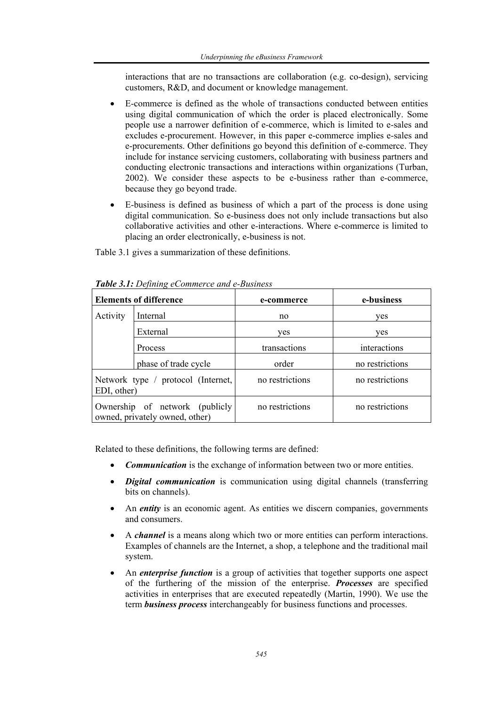interactions that are no transactions are collaboration (e.g. co-design), servicing customers, R&D, and document or knowledge management.

- E-commerce is defined as the whole of transactions conducted between entities using digital communication of which the order is placed electronically. Some people use a narrower definition of e-commerce, which is limited to e-sales and excludes e-procurement. However, in this paper e-commerce implies e-sales and e-procurements. Other definitions go beyond this definition of e-commerce. They include for instance servicing customers, collaborating with business partners and conducting electronic transactions and interactions within organizations (Turban, 2002). We consider these aspects to be e-business rather than e-commerce, because they go beyond trade.
- E-business is defined as business of which a part of the process is done using digital communication. So e-business does not only include transactions but also collaborative activities and other e-interactions. Where e-commerce is limited to placing an order electronically, e-business is not.

Table 3.1 gives a summarization of these definitions.

| <b>Elements of difference</b>                                    |                      | e-commerce      | e-business      |
|------------------------------------------------------------------|----------------------|-----------------|-----------------|
| Activity                                                         | Internal             | no              | ves             |
|                                                                  | External             | ves             | ves             |
|                                                                  | Process              | transactions    | interactions    |
|                                                                  | phase of trade cycle | order           | no restrictions |
| Network type / protocol (Internet,<br>EDI, other)                |                      | no restrictions | no restrictions |
| Ownership of network (publicly<br>owned, privately owned, other) |                      | no restrictions | no restrictions |

*Table 3.1: Defining eCommerce and e-Business* 

Related to these definitions, the following terms are defined:

- *Communication* is the exchange of information between two or more entities.
- *Digital communication* is communication using digital channels (transferring bits on channels).
- An *entity* is an economic agent. As entities we discern companies, governments and consumers.
- A *channel* is a means along which two or more entities can perform interactions. Examples of channels are the Internet, a shop, a telephone and the traditional mail system.
- An *enterprise function* is a group of activities that together supports one aspect of the furthering of the mission of the enterprise. *Processes* are specified activities in enterprises that are executed repeatedly (Martin, 1990). We use the term *business process* interchangeably for business functions and processes.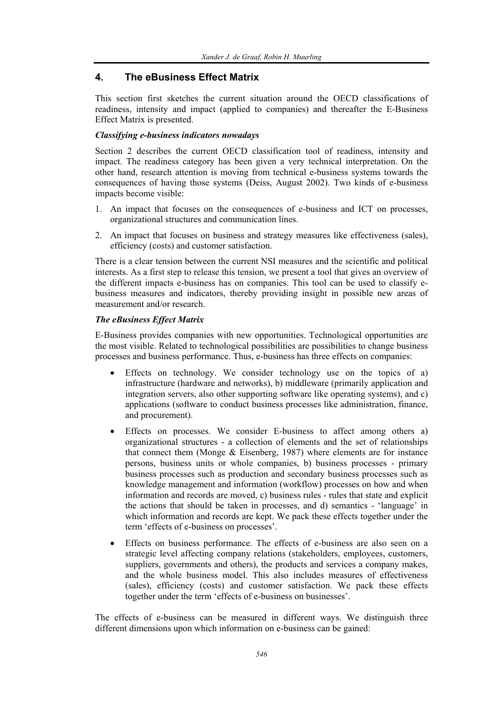# **4. The eBusiness Effect Matrix**

This section first sketches the current situation around the OECD classifications of readiness, intensity and impact (applied to companies) and thereafter the E-Business Effect Matrix is presented.

#### *Classifying e-business indicators nowadays*

Section 2 describes the current OECD classification tool of readiness, intensity and impact. The readiness category has been given a very technical interpretation. On the other hand, research attention is moving from technical e-business systems towards the consequences of having those systems (Deiss, August 2002). Two kinds of e-business impacts become visible:

- 1. An impact that focuses on the consequences of e-business and ICT on processes, organizational structures and communication lines.
- 2. An impact that focuses on business and strategy measures like effectiveness (sales), efficiency (costs) and customer satisfaction.

There is a clear tension between the current NSI measures and the scientific and political interests. As a first step to release this tension, we present a tool that gives an overview of the different impacts e-business has on companies. This tool can be used to classify ebusiness measures and indicators, thereby providing insight in possible new areas of measurement and/or research.

## *The eBusiness Effect Matrix*

E-Business provides companies with new opportunities. Technological opportunities are the most visible. Related to technological possibilities are possibilities to change business processes and business performance. Thus, e-business has three effects on companies:

- Effects on technology. We consider technology use on the topics of a) infrastructure (hardware and networks), b) middleware (primarily application and integration servers, also other supporting software like operating systems), and c) applications (software to conduct business processes like administration, finance, and procurement).
- Effects on processes. We consider E-business to affect among others a) organizational structures - a collection of elements and the set of relationships that connect them (Monge & Eisenberg, 1987) where elements are for instance persons, business units or whole companies, b) business processes - primary business processes such as production and secondary business processes such as knowledge management and information (workflow) processes on how and when information and records are moved, c) business rules - rules that state and explicit the actions that should be taken in processes, and d) semantics - 'language' in which information and records are kept. We pack these effects together under the term 'effects of e-business on processes'.
- Effects on business performance. The effects of e-business are also seen on a strategic level affecting company relations (stakeholders, employees, customers, suppliers, governments and others), the products and services a company makes, and the whole business model. This also includes measures of effectiveness (sales), efficiency (costs) and customer satisfaction. We pack these effects together under the term 'effects of e-business on businesses'.

The effects of e-business can be measured in different ways. We distinguish three different dimensions upon which information on e-business can be gained: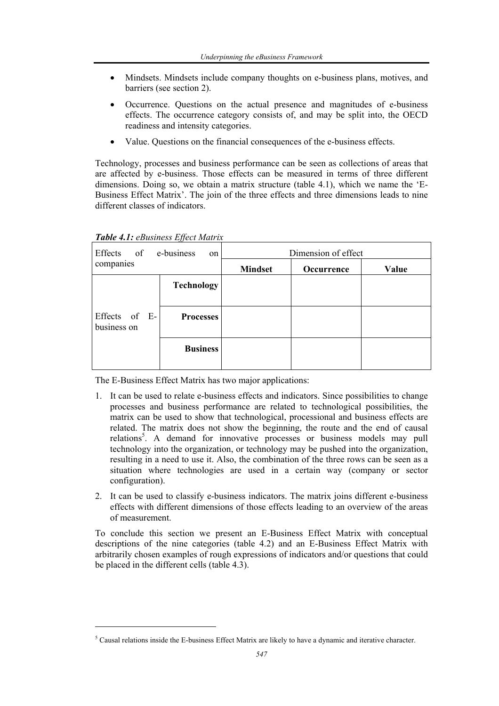- Mindsets. Mindsets include company thoughts on e-business plans, motives, and barriers (see section 2).
- Occurrence. Questions on the actual presence and magnitudes of e-business effects. The occurrence category consists of, and may be split into, the OECD readiness and intensity categories.
- Value. Ouestions on the financial consequences of the e-business effects.

Technology, processes and business performance can be seen as collections of areas that are affected by e-business. Those effects can be measured in terms of three different dimensions. Doing so, we obtain a matrix structure (table 4.1), which we name the 'E-Business Effect Matrix'. The join of the three effects and three dimensions leads to nine different classes of indicators.

| Effects of                   | e-business<br>on  | Dimension of effect |            |       |
|------------------------------|-------------------|---------------------|------------|-------|
| companies                    |                   | <b>Mindset</b>      | Occurrence | Value |
|                              | <b>Technology</b> |                     |            |       |
| Effects of E-<br>business on | <b>Processes</b>  |                     |            |       |
|                              | <b>Business</b>   |                     |            |       |

*Table 4.1: eBusiness Effect Matrix* 

l

The E-Business Effect Matrix has two major applications:

- 1. It can be used to relate e-business effects and indicators. Since possibilities to change processes and business performance are related to technological possibilities, the matrix can be used to show that technological, processional and business effects are related. The matrix does not show the beginning, the route and the end of causal relations<sup>5</sup>. A demand for innovative processes or business models may pull technology into the organization, or technology may be pushed into the organization, resulting in a need to use it. Also, the combination of the three rows can be seen as a situation where technologies are used in a certain way (company or sector configuration).
- 2. It can be used to classify e-business indicators. The matrix joins different e-business effects with different dimensions of those effects leading to an overview of the areas of measurement.

To conclude this section we present an E-Business Effect Matrix with conceptual descriptions of the nine categories (table 4.2) and an E-Business Effect Matrix with arbitrarily chosen examples of rough expressions of indicators and/or questions that could be placed in the different cells (table 4.3).

<sup>&</sup>lt;sup>5</sup> Causal relations inside the E-business Effect Matrix are likely to have a dynamic and iterative character.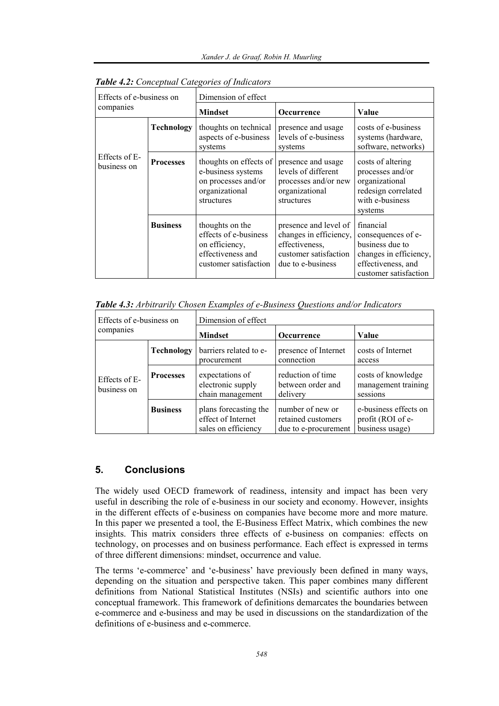| Effects of e-business on<br>companies |                   | Dimension of effect                                                                                      |                                                                                                                 |                                                                                                                             |  |
|---------------------------------------|-------------------|----------------------------------------------------------------------------------------------------------|-----------------------------------------------------------------------------------------------------------------|-----------------------------------------------------------------------------------------------------------------------------|--|
|                                       |                   | <b>Mindset</b>                                                                                           | <b>Occurrence</b>                                                                                               | Value                                                                                                                       |  |
|                                       | <b>Technology</b> | thoughts on technical<br>aspects of e-business<br>systems                                                | presence and usage<br>levels of e-business<br>systems                                                           | costs of e-business<br>systems (hardware,<br>software, networks)                                                            |  |
| Effects of E-<br>business on          | <b>Processes</b>  | thoughts on effects of<br>e-business systems<br>on processes and/or<br>organizational<br>structures      | presence and usage<br>levels of different<br>processes and/or new<br>organizational<br>structures               | costs of altering<br>processes and/or<br>organizational<br>redesign correlated<br>with e-business<br>systems                |  |
|                                       | <b>Business</b>   | thoughts on the<br>effects of e-business<br>on efficiency,<br>effectiveness and<br>customer satisfaction | presence and level of<br>changes in efficiency,<br>effectiveness,<br>customer satisfaction<br>due to e-business | financial<br>consequences of e-<br>business due to<br>changes in efficiency,<br>effectiveness, and<br>customer satisfaction |  |

*Table 4.2: Conceptual Categories of Indicators* 

*Table 4.3: Arbitrarily Chosen Examples of e-Business Questions and/or Indicators* 

| Effects of e-business on<br>companies |                   | Dimension of effect                                                |                                                                |                                                               |
|---------------------------------------|-------------------|--------------------------------------------------------------------|----------------------------------------------------------------|---------------------------------------------------------------|
|                                       |                   | <b>Mindset</b>                                                     | <b>Occurrence</b>                                              | Value                                                         |
|                                       | <b>Technology</b> | barriers related to e-<br>procurement                              | presence of Internet<br>connection                             | costs of Internet<br>access                                   |
| Effects of E-<br>business on          | <b>Processes</b>  | expectations of<br>electronic supply<br>chain management           | reduction of time<br>between order and<br>delivery             | costs of knowledge<br>management training<br>sessions         |
|                                       | <b>Business</b>   | plans forecasting the<br>effect of Internet<br>sales on efficiency | number of new or<br>retained customers<br>due to e-procurement | e-business effects on<br>profit (ROI of e-<br>business usage) |

# **5. Conclusions**

The widely used OECD framework of readiness, intensity and impact has been very useful in describing the role of e-business in our society and economy. However, insights in the different effects of e-business on companies have become more and more mature. In this paper we presented a tool, the E-Business Effect Matrix, which combines the new insights. This matrix considers three effects of e-business on companies: effects on technology, on processes and on business performance. Each effect is expressed in terms of three different dimensions: mindset, occurrence and value.

The terms 'e-commerce' and 'e-business' have previously been defined in many ways, depending on the situation and perspective taken. This paper combines many different definitions from National Statistical Institutes (NSIs) and scientific authors into one conceptual framework. This framework of definitions demarcates the boundaries between e-commerce and e-business and may be used in discussions on the standardization of the definitions of e-business and e-commerce.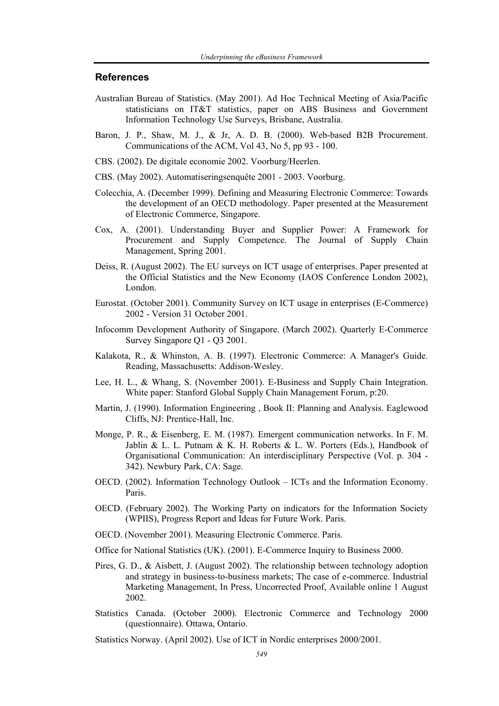#### **References**

- Australian Bureau of Statistics. (May 2001). Ad Hoc Technical Meeting of Asia/Pacific statisticians on IT&T statistics, paper on ABS Business and Government Information Technology Use Surveys, Brisbane, Australia.
- Baron, J. P., Shaw, M. J., & Jr, A. D. B. (2000). Web-based B2B Procurement. Communications of the ACM, Vol 43, No 5, pp 93 - 100.
- CBS. (2002). De digitale economie 2002. Voorburg/Heerlen.
- CBS. (May 2002). Automatiseringsenquête 2001 2003. Voorburg.
- Colecchia, A. (December 1999). Defining and Measuring Electronic Commerce: Towards the development of an OECD methodology. Paper presented at the Measurement of Electronic Commerce, Singapore.
- Cox, A. (2001). Understanding Buyer and Supplier Power: A Framework for Procurement and Supply Competence. The Journal of Supply Chain Management, Spring 2001.
- Deiss, R. (August 2002). The EU surveys on ICT usage of enterprises. Paper presented at the Official Statistics and the New Economy (IAOS Conference London 2002), London.
- Eurostat. (October 2001). Community Survey on ICT usage in enterprises (E-Commerce) 2002 - Version 31 October 2001.
- Infocomm Development Authority of Singapore. (March 2002). Quarterly E-Commerce Survey Singapore Q1 - Q3 2001.
- Kalakota, R., & Whinston, A. B. (1997). Electronic Commerce: A Manager's Guide. Reading, Massachusetts: Addison-Wesley.
- Lee, H. L., & Whang, S. (November 2001). E-Business and Supply Chain Integration. White paper: Stanford Global Supply Chain Management Forum, p:20.
- Martin, J. (1990). Information Engineering , Book II: Planning and Analysis. Eaglewood Cliffs, NJ: Prentice-Hall, Inc.
- Monge, P. R., & Eisenberg, E. M. (1987). Emergent communication networks. In F. M. Jablin & L. L. Putnam & K. H. Roberts & L. W. Porters (Eds.), Handbook of Organisational Communication: An interdisciplinary Perspective (Vol. p. 304 - 342). Newbury Park, CA: Sage.
- OECD. (2002). Information Technology Outlook ICTs and the Information Economy. Paris.
- OECD. (February 2002). The Working Party on indicators for the Information Society (WPIIS), Progress Report and Ideas for Future Work. Paris.
- OECD. (November 2001). Measuring Electronic Commerce. Paris.
- Office for National Statistics (UK). (2001). E-Commerce Inquiry to Business 2000.
- Pires, G. D., & Aisbett, J. (August 2002). The relationship between technology adoption and strategy in business-to-business markets; The case of e-commerce. Industrial Marketing Management, In Press, Uncorrected Proof, Available online 1 August 2002.
- Statistics Canada. (October 2000). Electronic Commerce and Technology 2000 (questionnaire). Ottawa, Ontario.

Statistics Norway. (April 2002). Use of ICT in Nordic enterprises 2000/2001.